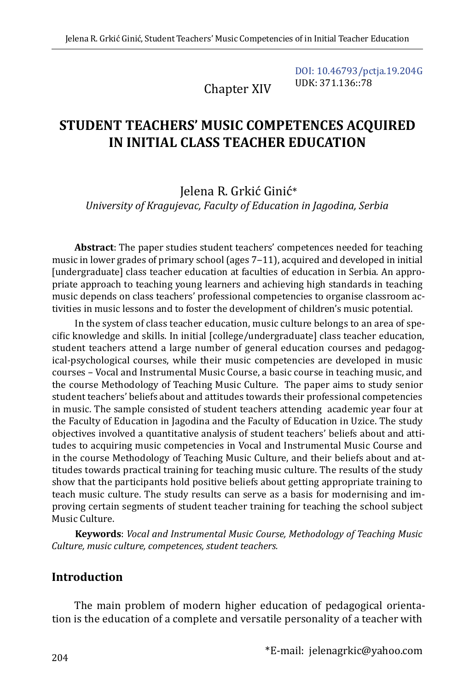Chapter XIV

[DOI: 10.46793/pctja.19.204G](https://doi.org/10.46793/pctja.19.204G) UDK: 371.136::78

# **STUDENT TEACHERS' MUSIC COMPETENCES ACQUIRED IN INITIAL CLASS TEACHER EDUCATION**

Jelena R. Grkić Ginić\* *University of Kragujevac, Faculty of Education in Jagodina, Serbia*

**Abstract**: The paper studies student teachers' competences needed for teaching music in lower grades of primary school (ages 7-11), acquired and developed in initial [undergraduate] class teacher education at faculties of education in Serbia. An appropriate approach to teaching young learners and achieving high standards in teaching music depends on class teachers' professional competencies to organise classroom activities in music lessons and to foster the development of children's music potential.

In the system of class teacher education, music culture belongs to an area of specific knowledge and skills. In initial [college/undergraduate] class teacher education, student teachers attend a large number of general education courses and pedagogical-psychological courses, while their music competencies are developed in music courses – Vocal and Instrumental Music Course, a basic course in teaching music, and the course Methodology of Teaching Music Culture. The paper aims to study senior student teachers' beliefs about and attitudes towards their professional competencies in music. The sample consisted of student teachers attending academic year four at the Faculty of Education in Jagodina and the Faculty of Education in Uzice. The study objectives involved a quantitative analysis of student teachers' beliefs about and attitudes to acquiring music competencies in Vocal and Instrumental Music Course and in the course Methodology of Teaching Music Culture, and their beliefs about and attitudes towards practical training for teaching music culture. The results of the study show that the participants hold positive beliefs about getting appropriate training to teach music culture. The study results can serve as a basis for modernising and improving certain segments of student teacher training for teaching the school subject Music Culture.

**Keywords**: *Vocal and Instrumental Music Course, Methodology of Teaching Music Culture, music culture, competences, student teachers.*

#### **Introduction**

The main problem of modern higher education of pedagogical orientation is the education of a complete and versatile personality of a teacher with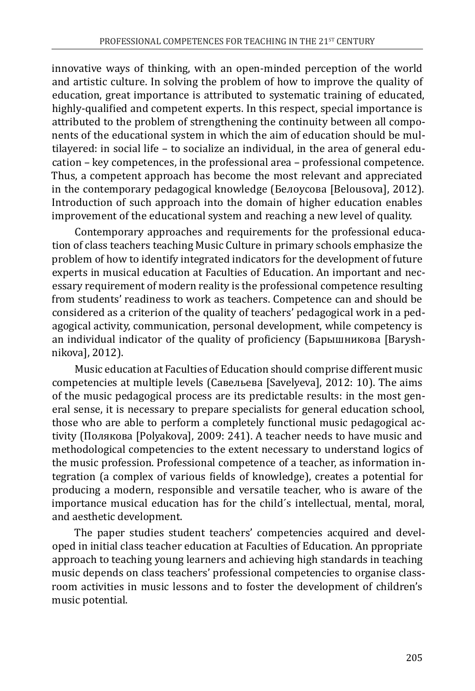innovative ways of thinking, with an open-minded perception of the world and artistic culture. In solving the problem of how to improve the quality of education, great importance is attributed to systematic training of educated, highly-qualified and competent experts. In this respect, special importance is attributed to the problem of strengthening the continuity between all components of the educational system in which the aim of education should be multilayered: in social life – to socialize an individual, in the area of general education – key competences, in the professional area – professional competence. Thus, a competent approach has become the most relevant and appreciated in the contemporary pedagogical knowledge (Белоусова [Belousova], 2012). Introduction of such approach into the domain of higher education enables improvement of the educational system and reaching a new level of quality.

Contemporary approaches and requirements for the professional education of class teachers teaching Music Culture in primary schools emphasize the problem of how to identify integrated indicators for the development of future experts in musical education at Faculties of Education. An important and necessary requirement of modern reality is the professional competence resulting from students' readiness to work as teachers. Competence can and should be considered as a criterion of the quality of teachers' pedagogical work in a pedagogical activity, communication, personal development, while competency is an individual indicator of the quality of proficiency (Барышникова [Baryshnikova], 2012).

Music education at Faculties of Education should comprise different music competencies at multiple levels (Сaвельева [Savelyeva], 2012: 10). The aims of the music pedagogical process are its predictable results: in the most general sense, it is necessary to prepare specialists for general education school, those who are able to perform a completely functional music pedagogical activity (Полякова [Polyakova], 2009: 241). A teacher needs to have music and methodological competencies to the extent necessary to understand logics of the music profession. Professional competence of a teacher, as information integration (a complex of various fields of knowledge), creates a potential for producing a modern, responsible and versatile teacher, who is aware of the importance musical education has for the child´s intellectual, mental, moral, and aesthetic development.

The paper studies student teachers' competencies acquired and developed in initial class teacher education at Faculties of Education. An ppropriate approach to teaching young learners and achieving high standards in teaching music depends on class teachers' professional competencies to organise classroom activities in music lessons and to foster the development of children's music potential.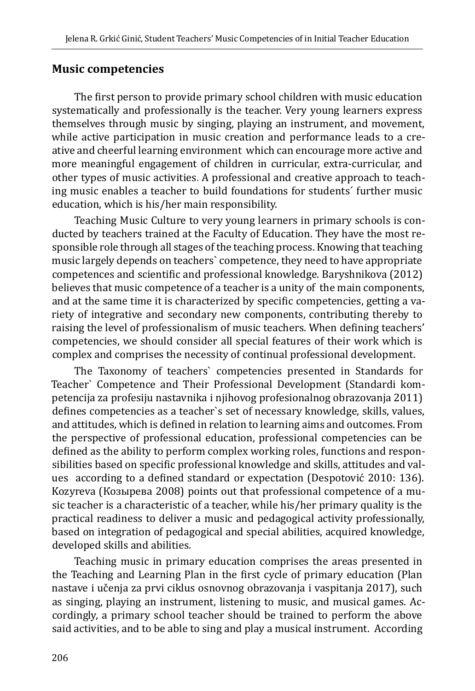#### **Music competencies**

The first person to provide primary school children with music education systematically and professionally is the teacher. Very young learners express themselves through music by singing, playing an instrument, and movement, while active participation in music creation and performance leads to a creative and cheerful learning environment which can encourage more active and more meaningful engagement of children in curricular, extra-curricular, and other types of music activities. A professional and creative approach to teaching music enables a teacher to build foundations for students´ further music education, which is his/her main responsibility.

Teaching Music Culture to very young learners in primary schools is conducted by teachers trained at the Faculty of Education. They have the most responsible role through all stages of the teaching process. Knowing that teaching music largely depends on teachers` competence, they need to have appropriate competences and scientific and professional knowledge. Baryshnikova (2012) believes that music competence of a teacher is a unity of the main components, and at the same time it is characterized by specific competencies, getting a variety of integrative and secondary new components, contributing thereby to raising the level of professionalism of music teachers. When defining teachers' competencies, we should consider all special features of their work which is complex and comprises the necessity of continual professional development.

The Taxonomy of teachers` competencies presented in Standards for Teacher` Competence and Their Professional Development (Standardi kompetencija za profesiju nastavnika i njihovog profesionalnog obrazovanja 2011) defines competencies as a teacher`s set of necessary knowledge, skills, values, and attitudes, which is defined in relation to learning aims and outcomes. From the perspective of professional education, professional competencies can be defined as the ability to perform complex working roles, functions and responsibilities based on specific professional knowledge and skills, attitudes and values according to a defined standard or expectation (Despotović 2010: 136). Kozyreva (Козырева 2008) points out that professional competence of a music teacher is a characteristic of a teacher, while his/her primary quality is the practical readiness to deliver a music and pedagogical activity professionally, based on integration of pedagogical and special abilities, acquired knowledge, developed skills and abilities.

Teaching music in primary education comprises the areas presented in the Teaching and Learning Plan in the first cycle of primary education (Plan nastave i učenja za prvi ciklus osnovnog obrazovanja i vaspitanja 2017), such as singing, playing an instrument, listening to music, and musical games. Accordingly, a primary school teacher should be trained to perform the above said activities, and to be able to sing and play a musical instrument. According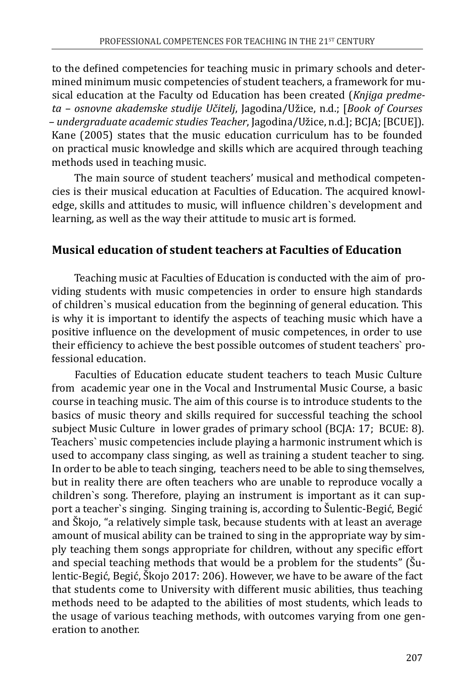to the defined competencies for teaching music in primary schools and determined minimum music competencies of student teachers, a framework for musical education at the Faculty od Education has been created (*Knjiga predmeta – osnovne akademske studije Učitelj*, Jagodina/Užice, n.d.; [*Book of Courses – undergraduate academic studies Teacher*, Jagodina/Užice, n.d.]; BCJA; [BCUE]). Kane (2005) states that the music education curriculum has to be founded on practical music knowledge and skills which are acquired through teaching methods used in teaching music.

The main source of student teachers' musical and methodical competencies is their musical education at Faculties of Education. The acquired knowledge, skills and attitudes to music, will influence children`s development and learning, as well as the way their attitude to music art is formed.

#### **Musical education of student teachers at Faculties of Education**

Teaching music at Faculties of Education is conducted with the aim of providing students with music competencies in order to ensure high standards of children`s musical education from the beginning of general education. This is why it is important to identify the aspects of teaching music which have a positive influence on the development of music competences, in order to use their efficiency to achieve the best possible outcomes of student teachers` professional education.

Faculties of Education educate student teachers to teach Music Culture from academic year one in the Vocal and Instrumental Music Course, a basic course in teaching music. The aim of this course is to introduce students to the basics of music theory and skills required for successful teaching the school subject Music Culture in lower grades of primary school (BCJA: 17; BCUE: 8). Teachers` music competencies include playing a harmonic instrument which is used to accompany class singing, as well as training a student teacher to sing. In order to be able to teach singing, teachers need to be able to sing themselves, but in reality there are often teachers who are unable to reproduce vocally a children`s song. Therefore, playing an instrument is important as it can support a teacher`s singing. Singing training is, according to Šulentic-Begić, Begić and Škojo, "a relatively simple task, because students with at least an average amount of musical ability can be trained to sing in the appropriate way by simply teaching them songs appropriate for children, without any specific effort and special teaching methods that would be a problem for the students" (Šulentic-Begić, Begić, Škojo 2017: 206). However, we have to be aware of the fact that students come to University with different music abilities, thus teaching methods need to be adapted to the abilities of most students, which leads to the usage of various teaching methods, with outcomes varying from one generation to another.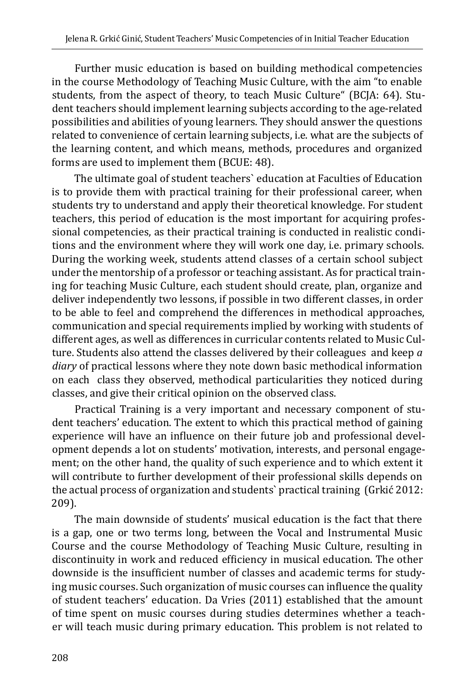Further music education is based on building methodical competencies in the course Methodology of Teaching Music Culture, with the aim "to enable students, from the aspect of theory, to teach Music Culture" (BCJA: 64). Student teachers should implement learning subjects according to the age-related possibilities and abilities of young learners. They should answer the questions related to convenience of certain learning subjects, i.e. what are the subjects of the learning content, and which means, methods, procedures and organized forms are used to implement them (BCUE: 48).

The ultimate goal of student teachers` education at Faculties of Education is to provide them with practical training for their professional career, when students try to understand and apply their theoretical knowledge. For student teachers, this period of education is the most important for acquiring professional competencies, as their practical training is conducted in realistic conditions and the environment where they will work one day, i.e. primary schools. During the working week, students attend classes of a certain school subject under the mentorship of a professor or teaching assistant. As for practical training for teaching Music Culture, each student should create, plan, organize and deliver independently two lessons, if possible in two different classes, in order to be able to feel and comprehend the differences in methodical approaches, communication and special requirements implied by working with students of different ages, as well as differences in curricular contents related to Music Culture. Students also attend the classes delivered by their colleagues and keep *a diary* of practical lessons where they note down basic methodical information on each class they observed, methodical particularities they noticed during classes, and give their critical opinion on the observed class.

Practical Training is a very important and necessary component of student teachers' education. The extent to which this practical method of gaining experience will have an influence on their future job and professional development depends a lot on students' motivation, interests, and personal engagement; on the other hand, the quality of such experience and to which extent it will contribute to further development of their professional skills depends on the actual process of organization and students` practical training (Grkić 2012: 209).

The main downside of students' musical education is the fact that there is a gap, one or two terms long, between the Vocal and Instrumental Music Course and the course Methodology of Teaching Music Culture, resulting in discontinuity in work and reduced efficiency in musical education. The other downside is the insufficient number of classes and academic terms for studying music courses. Such organization of music courses can influence the quality of student teachers' education. Da Vries (2011) established that the amount of time spent on music courses during studies determines whether a teacher will teach music during primary education. This problem is not related to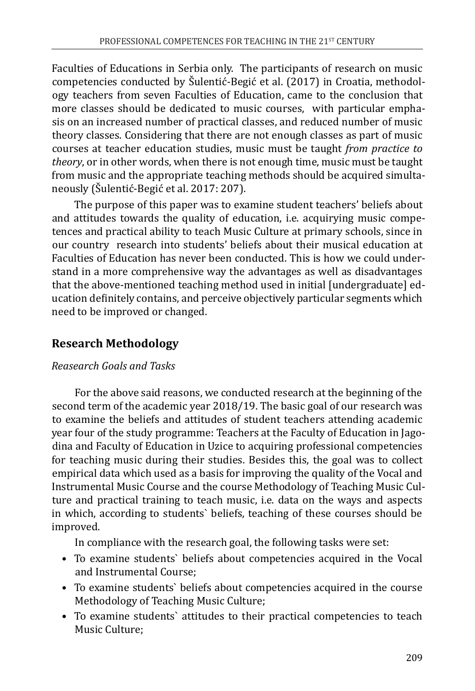Faculties of Educations in Serbia only. The participants of research on music competencies conducted by Šulentić-Begić et al. (2017) in Croatia, methodology teachers from seven Faculties of Education, came to the conclusion that more classes should be dedicated to music courses, with particular emphasis on an increased number of practical classes, and reduced number of music theory classes. Considering that there are not enough classes as part of music courses at teacher education studies, music must be taught *from practice to theory*, or in other words, when there is not enough time, music must be taught from music and the appropriate teaching methods should be acquired simultaneously (Šulentić-Begić et al. 2017: 207).

The purpose of this paper was to examine student teachers' beliefs about and attitudes towards the quality of education, i.e. acquirying music competences and practical ability to teach Music Culture at primary schools, since in our country research into students' beliefs about their musical education at Faculties of Education has never been conducted. This is how we could understand in a more comprehensive way the advantages as well as disadvantages that the above-mentioned teaching method used in initial [undergraduate] education definitely contains, and perceive objectively particular segments which need to be improved or changed.

## **Research Methodology**

## *Reasearch Goals and Tasks*

For the above said reasons, we conducted research at the beginning of the second term of the academic year 2018/19. The basic goal of our research was to examine the beliefs and attitudes of student teachers attending academic year four of the study programme: Teachers at the Faculty of Education in Jagodina and Faculty of Education in Uzice to acquiring professional competencies for teaching music during their studies. Besides this, the goal was to collect empirical data which used as a basis for improving the quality of the Vocal and Instrumental Music Course and the course Methodology of Teaching Music Culture and practical training to teach music, i.e. data on the ways and aspects in which, according to students` beliefs, teaching of these courses should be improved.

In compliance with the research goal, the following tasks were set:

- To examine students` beliefs about competencies acquired in the Vocal and Instrumental Course;
- To examine students` beliefs about competencies acquired in the course Methodology of Teaching Music Culture;
- To examine students` attitudes to their practical competencies to teach Music Culture;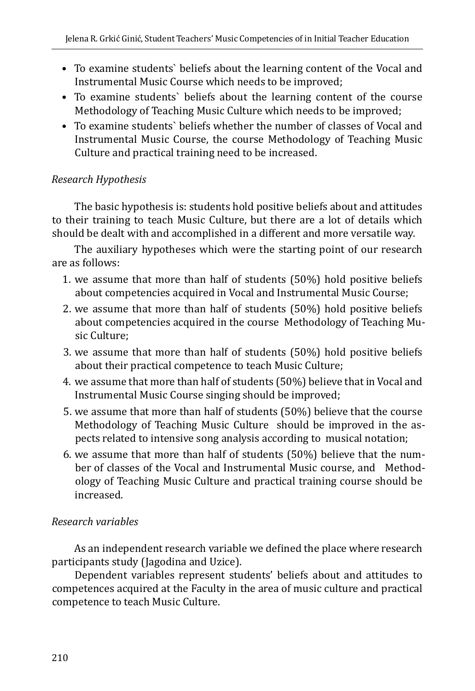- To examine students` beliefs about the learning content of the Vocal and Instrumental Music Course which needs to be improved;
- To examine students` beliefs about the learning content of the course Methodology of Teaching Music Culture which needs to be improved;
- To examine students` beliefs whether the number of classes of Vocal and Instrumental Music Course, the course Methodology of Teaching Music Culture and practical training need to be increased.

#### *Research Hypothesis*

The basic hypothesis is: students hold positive beliefs about and attitudes to their training to teach Music Culture, but there are a lot of details which should be dealt with and accomplished in a different and more versatile way.

The auxiliary hypotheses which were the starting point of our research are as follows:

- 1. we assume that more than half of students (50%) hold positive beliefs about competencies acquired in Vocal and Instrumental Music Course;
- 2. we assume that more than half of students (50%) hold positive beliefs about competencies acquired in the course Methodology of Teaching Music Culture;
- 3. we assume that more than half of students (50%) hold positive beliefs about their practical competence to teach Music Culture;
- 4. we assume that more than half of students (50%) believe that in Vocal and Instrumental Music Course singing should be improved;
- 5. we assume that more than half of students (50%) believe that the course Methodology of Teaching Music Culture should be improved in the aspects related to intensive song analysis according to musical notation;
- 6. we assume that more than half of students (50%) believe that the number of classes of the Vocal and Instrumental Music course, and Methodology of Teaching Music Culture and practical training course should be increased.

#### *Research variables*

As an independent research variable we defined the place where research participants study (Jagodina and Uzice).

Dependent variables represent students' beliefs about and attitudes to competences acquired at the Faculty in the area of music culture and practical competence to teach Music Culture.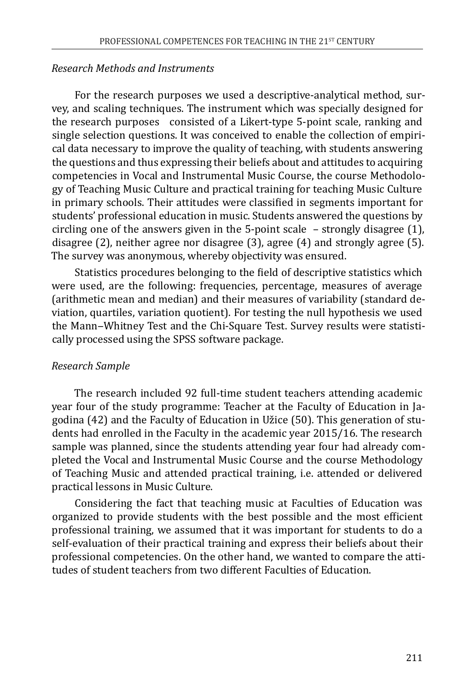#### *Research Methods and Instruments*

For the research purposes we used a descriptive-analytical method, survey, and scaling techniques. The instrument which was specially designed for the research purposes consisted of a Likert-type 5-point scale, ranking and single selection questions. It was conceived to enable the collection of empirical data necessary to improve the quality of teaching, with students answering the questions and thus expressing their beliefs about and attitudes to acquiring competencies in Vocal and Instrumental Music Course, the course Methodology of Teaching Music Culture and practical training for teaching Music Culture in primary schools. Their attitudes were classified in segments important for students' professional education in music. Students answered the questions by circling one of the answers given in the 5-point scale – strongly disagree (1), disagree (2), neither agree nor disagree (3), agree (4) and strongly agree (5). The survey was anonymous, whereby objectivity was ensured.

Statistics procedures belonging to the field of descriptive statistics which were used, are the following: frequencies, percentage, measures of average (arithmetic mean and median) and their measures of variability (standard deviation, quartiles, variation quotient). For testing the null hypothesis we used the Mann-Whitney Test and the Chi-Square Test. Survey results were statistically processed using the SPSS software package.

#### *Research Sample*

The research included 92 full-time student teachers attending academic year four of the study programme: Teacher at the Faculty of Education in Jagodina (42) and the Faculty of Education in Užice (50). This generation of students had enrolled in the Faculty in the academic year 2015/16. The research sample was planned, since the students attending year four had already completed the Vocal and Instrumental Music Course and the course Methodology of Teaching Music and attended practical training, i.e. attended or delivered practical lessons in Music Culture.

Considering the fact that teaching music at Faculties of Education was organized to provide students with the best possible and the most efficient professional training, we assumed that it was important for students to do a self-evaluation of their practical training and express their beliefs about their professional competencies. On the other hand, we wanted to compare the attitudes of student teachers from two different Faculties of Education.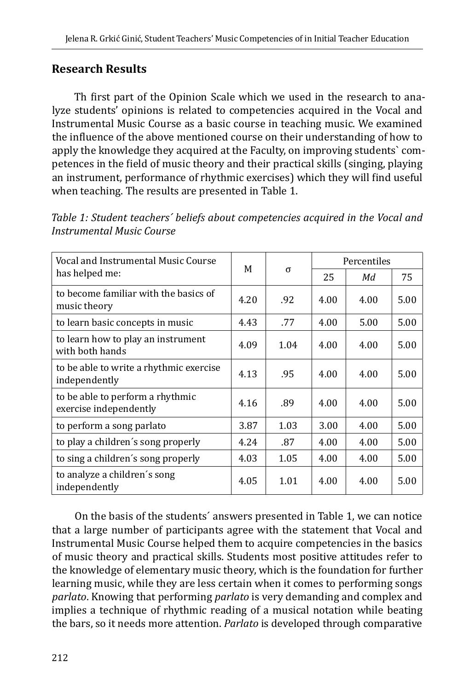## **Research Results**

Th first part of the Opinion Scale which we used in the research to analyze students' opinions is related to competencies acquired in the Vocal and Instrumental Music Course as a basic course in teaching music. We examined the influence of the above mentioned course on their understanding of how to apply the knowledge they acquired at the Faculty, on improving students` competences in the field of music theory and their practical skills (singing, playing an instrument, performance of rhythmic exercises) which they will find useful when teaching. The results are presented in Table 1.

| Vocal and Instrumental Music Course                        | M    |          | Percentiles |      |      |  |  |
|------------------------------------------------------------|------|----------|-------------|------|------|--|--|
| has helped me:                                             |      | $\sigma$ | 25          | Мd   | 75   |  |  |
| to become familiar with the basics of<br>music theory      | 4.20 | .92      | 4.00        | 4.00 | 5.00 |  |  |
| to learn basic concepts in music                           | 4.43 | .77      | 4.00        | 5.00 | 5.00 |  |  |
| to learn how to play an instrument<br>with both hands      | 4.09 | 1.04     | 4.00        | 4.00 | 5.00 |  |  |
| to be able to write a rhythmic exercise<br>independently   | 4.13 | .95      | 4.00        | 4.00 | 5.00 |  |  |
| to be able to perform a rhythmic<br>exercise independently | 4.16 | .89      | 4.00        | 4.00 | 5.00 |  |  |
| to perform a song parlato                                  | 3.87 | 1.03     | 3.00        | 4.00 | 5.00 |  |  |
| to play a children's song properly                         | 4.24 | .87      | 4.00        | 4.00 | 5.00 |  |  |
| to sing a children's song properly                         | 4.03 | 1.05     | 4.00        | 4.00 | 5.00 |  |  |
| to analyze a children's song<br>independently              | 4.05 | 1.01     | 4.00        | 4.00 | 5.00 |  |  |

*Table 1: Student teachers´ beliefs about competencies acquired in the Vocal and Instrumental Music Course* 

On the basis of the students´ answers presented in Table 1, we can notice that a large number of participants agree with the statement that Vocal and Instrumental Music Course helped them to acquire competencies in the basics of music theory and practical skills. Students most positive attitudes refer to the knowledge of elementary music theory, which is the foundation for further learning music, while they are less certain when it comes to performing songs *parlato*. Knowing that performing *parlato* is very demanding and complex and implies a technique of rhythmic reading of a musical notation while beating the bars, so it needs more attention. *Parlato* is developed through comparative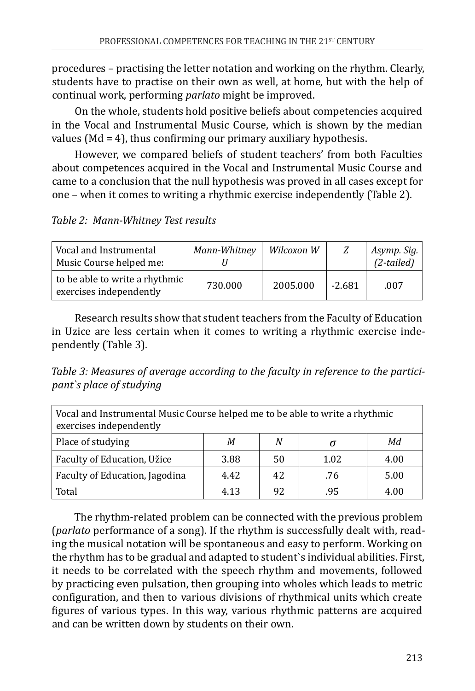procedures – practising the letter notation and working on the rhythm. Clearly, students have to practise on their own as well, at home, but with the help of continual work, performing *parlato* might be improved.

On the whole, students hold positive beliefs about competencies acquired in the Vocal and Instrumental Music Course, which is shown by the median values (Md = 4), thus confirming our primary auxiliary hypothesis.

However, we compared beliefs of student teachers' from both Faculties about competences acquired in the Vocal and Instrumental Music Course and came to a conclusion that the null hypothesis was proved in all cases except for one – when it comes to writing a rhythmic exercise independently (Table 2).

## *Table 2: Mann-Whitney Test results*

| Vocal and Instrumental<br>Music Course helped me:         | Mann-Whitney | Wilcoxon W |          | Asymp. Sig.<br>$(2-tailed)$ |
|-----------------------------------------------------------|--------------|------------|----------|-----------------------------|
| to be able to write a rhythmic<br>exercises independently | 730.000      | 2005.000   | $-2.681$ | .007                        |

Research results show that student teachers from the Faculty of Education in Uzice are less certain when it comes to writing a rhythmic exercise independently (Table 3).

*Table 3: Measures of average according to the faculty in reference to the participant`s place of studying* 

| Vocal and Instrumental Music Course helped me to be able to write a rhythmic<br>exercises independently |      |    |      |      |  |  |  |  |
|---------------------------------------------------------------------------------------------------------|------|----|------|------|--|--|--|--|
| Place of studying<br>Мd<br>N<br>М<br>σ                                                                  |      |    |      |      |  |  |  |  |
| Faculty of Education, Užice                                                                             | 3.88 | 50 | 1.02 | 4.00 |  |  |  |  |
| Faculty of Education, Jagodina                                                                          | 4.42 | 42 | .76  | 5.00 |  |  |  |  |
| Total                                                                                                   | 4.13 | 92 | .95  | 4.00 |  |  |  |  |

The rhythm-related problem can be connected with the previous problem (*parlato* performance of a song). If the rhythm is successfully dealt with, reading the musical notation will be spontaneous and easy to perform. Working on the rhythm has to be gradual and adapted to student`s individual abilities. First, it needs to be correlated with the speech rhythm and movements, followed by practicing even pulsation, then grouping into wholes which leads to metric configuration, and then to various divisions of rhythmical units which create figures of various types. In this way, various rhythmic patterns are acquired and can be written down by students on their own.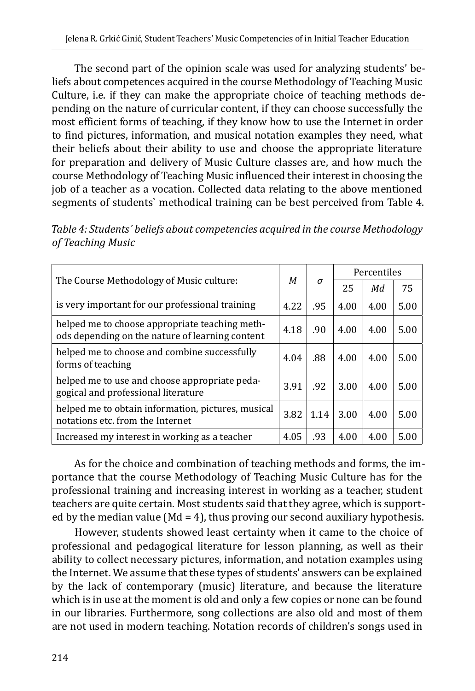The second part of the opinion scale was used for analyzing students' beliefs about competences acquired in the course Methodology of Teaching Music Culture, i.e. if they can make the appropriate choice of teaching methods depending on the nature of curricular content, if they can choose successfully the most efficient forms of teaching, if they know how to use the Internet in order to find pictures, information, and musical notation examples they need, what their beliefs about their ability to use and choose the appropriate literature for preparation and delivery of Music Culture classes are, and how much the course Methodology of Teaching Music influenced their interest in choosing the job of a teacher as a vocation. Collected data relating to the above mentioned segments of students` methodical training can be best perceived from Table 4.

| Table 4: Students' beliefs about competencies acquired in the course Methodology |
|----------------------------------------------------------------------------------|
| of Teaching Music                                                                |

| The Course Methodology of Music culture:                                                          |      |          | Percentiles |      |      |  |
|---------------------------------------------------------------------------------------------------|------|----------|-------------|------|------|--|
|                                                                                                   |      | $\sigma$ | 25          | Мd   | 75   |  |
| is very important for our professional training                                                   | 4.22 | .95      | 4.00        | 4.00 | 5.00 |  |
| helped me to choose appropriate teaching meth-<br>ods depending on the nature of learning content | 4.18 | .90      | 4.00        | 4.00 | 5.00 |  |
| helped me to choose and combine successfully<br>forms of teaching                                 | 4.04 | .88      | 4.00        | 4.00 | 5.00 |  |
| helped me to use and choose appropriate peda-<br>gogical and professional literature              | 3.91 | .92      | 3.00        | 4.00 | 5.00 |  |
| helped me to obtain information, pictures, musical<br>notations etc. from the Internet            | 3.82 | 1.14     | 3.00        | 4.00 | 5.00 |  |
| Increased my interest in working as a teacher                                                     | 4.05 | .93      | 4.00        | 4.00 | 5.00 |  |

As for the choice and combination of teaching methods and forms, the importance that the course Methodology of Teaching Music Culture has for the professional training and increasing interest in working as a teacher, student teachers are quite certain. Most students said that they agree, which is supported by the median value ( $Md = 4$ ), thus proving our second auxiliary hypothesis.

However, students showed least certainty when it came to the choice of professional and pedagogical literature for lesson planning, as well as their ability to collect necessary pictures, information, and notation examples using the Internet. We assume that these types of students' answers can be explained by the lack of contemporary (music) literature, and because the literature which is in use at the moment is old and only a few copies or none can be found in our libraries. Furthermore, song collections are also old and most of them are not used in modern teaching. Notation records of children's songs used in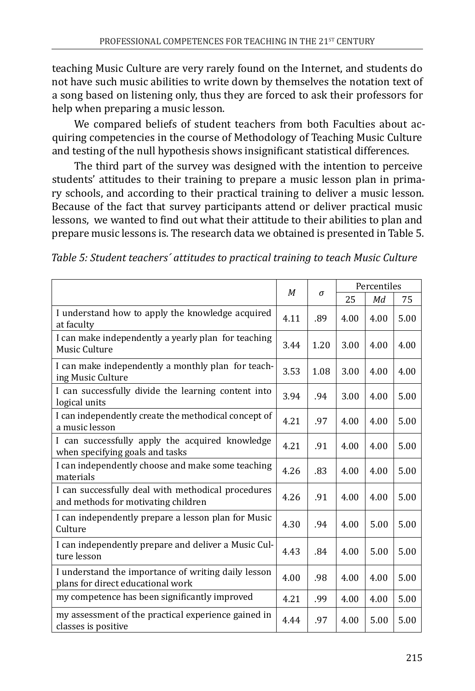teaching Music Culture are very rarely found on the Internet, and students do not have such music abilities to write down by themselves the notation text of a song based on listening only, thus they are forced to ask their professors for help when preparing a music lesson.

We compared beliefs of student teachers from both Faculties about acquiring competencies in the course of Methodology of Teaching Music Culture and testing of the null hypothesis shows insignificant statistical differences.

The third part of the survey was designed with the intention to perceive students' attitudes to their training to prepare a music lesson plan in primary schools, and according to their practical training to deliver a music lesson. Because of the fact that survey participants attend or deliver practical music lessons, we wanted to find out what their attitude to their abilities to plan and prepare music lessons is. The research data we obtained is presented in Table 5.

| Table 5: Student teachers' attitudes to practical training to teach Music Culture |  |  |  |
|-----------------------------------------------------------------------------------|--|--|--|
|-----------------------------------------------------------------------------------|--|--|--|

|                                                                                           |      |      | Percentiles |      |      |
|-------------------------------------------------------------------------------------------|------|------|-------------|------|------|
|                                                                                           | M    | σ    | 25          | Мd   | 75   |
| I understand how to apply the knowledge acquired<br>at faculty                            | 4.11 | .89  | 4.00        | 4.00 | 5.00 |
| I can make independently a yearly plan for teaching<br>Music Culture                      | 3.44 | 1.20 | 3.00        | 4.00 | 4.00 |
| I can make independently a monthly plan for teach-<br>ing Music Culture                   | 3.53 | 1.08 | 3.00        | 4.00 | 4.00 |
| I can successfully divide the learning content into<br>logical units                      | 3.94 | .94  | 3.00        | 4.00 | 5.00 |
| I can independently create the methodical concept of<br>a music lesson                    | 4.21 | .97  | 4.00        | 4.00 | 5.00 |
| I can successfully apply the acquired knowledge<br>when specifying goals and tasks        | 4.21 | .91  | 4.00        | 4.00 | 5.00 |
| I can independently choose and make some teaching<br>materials                            | 4.26 | .83  | 4.00        | 4.00 | 5.00 |
| I can successfully deal with methodical procedures<br>and methods for motivating children | 4.26 | .91  | 4.00        | 4.00 | 5.00 |
| I can independently prepare a lesson plan for Music<br>Culture                            | 4.30 | .94  | 4.00        | 5.00 | 5.00 |
| I can independently prepare and deliver a Music Cul-<br>ture lesson                       | 4.43 | .84  | 4.00        | 5.00 | 5.00 |
| I understand the importance of writing daily lesson<br>plans for direct educational work  | 4.00 | .98  | 4.00        | 4.00 | 5.00 |
| my competence has been significantly improved                                             | 4.21 | .99  | 4.00        | 4.00 | 5.00 |
| my assessment of the practical experience gained in<br>classes is positive                | 4.44 | .97  | 4.00        | 5.00 | 5.00 |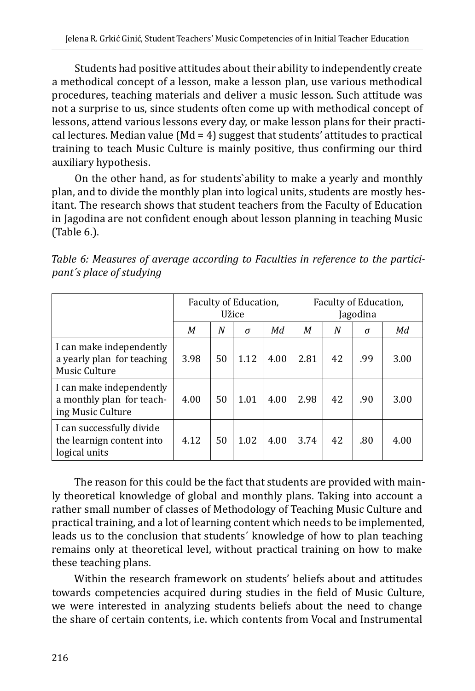Students had positive attitudes about their ability to independently create a methodical concept of a lesson, make a lesson plan, use various methodical procedures, teaching materials and deliver a music lesson. Such attitude was not a surprise to us, since students often come up with methodical concept of lessons, attend various lessons every day, or make lesson plans for their practical lectures. Median value (Md = 4) suggest that students' attitudes to practical training to teach Music Culture is mainly positive, thus confirming our third auxiliary hypothesis.

On the other hand, as for students`ability to make a yearly and monthly plan, and to divide the monthly plan into logical units, students are mostly hesitant. The research shows that student teachers from the Faculty of Education in Jagodina are not confident enough about lesson planning in teaching Music (Table 6.).

|                                                                            | Faculty of Education,<br>Užice |    |          | Faculty of Education,<br>Jagodina |      |    |          |      |
|----------------------------------------------------------------------------|--------------------------------|----|----------|-----------------------------------|------|----|----------|------|
|                                                                            | М                              | N  | $\sigma$ | Мd                                | M    | N  | $\sigma$ | Мd   |
| I can make independently<br>a yearly plan for teaching<br>Music Culture    | 3.98                           | 50 | 1.12     | 4.00                              | 2.81 | 42 | .99      | 3.00 |
| I can make independently<br>a monthly plan for teach-<br>ing Music Culture | 4.00                           | 50 | 1.01     | 4.00                              | 2.98 | 42 | .90      | 3.00 |
| I can successfully divide<br>the learnign content into<br>logical units    | 4.12                           | 50 | 1.02     | 4.00                              | 3.74 | 42 | .80      | 4.00 |

*Table 6: Measures of average according to Faculties in reference to the participant´s place of studying* 

The reason for this could be the fact that students are provided with mainly theoretical knowledge of global and monthly plans. Taking into account a rather small number of classes of Methodology of Teaching Music Culture and practical training, and a lot of learning content which needs to be implemented, leads us to the conclusion that students´ knowledge of how to plan teaching remains only at theoretical level, without practical training on how to make these teaching plans.

Within the research framework on students' beliefs about and attitudes towards competencies acquired during studies in the field of Music Culture, we were interested in analyzing students beliefs about the need to change the share of certain contents, i.e. which contents from Vocal and Instrumental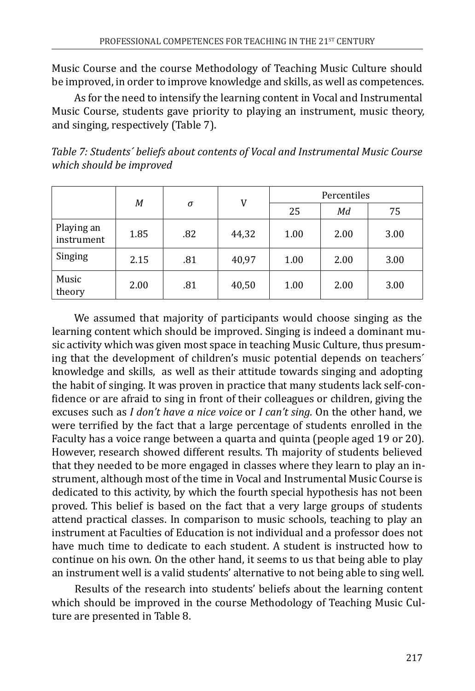Music Course and the course Methodology of Teaching Music Culture should be improved, in order to improve knowledge and skills, as well as competences.

As for the need to intensify the learning content in Vocal and Instrumental Music Course, students gave priority to playing an instrument, music theory, and singing, respectively (Table 7).

| Table 7: Students' beliefs about contents of Vocal and Instrumental Music Course |  |
|----------------------------------------------------------------------------------|--|
| which should be improved                                                         |  |

|                          | V<br>М<br>$\sigma$ |     | Percentiles |      |      |      |  |
|--------------------------|--------------------|-----|-------------|------|------|------|--|
|                          |                    |     |             | 25   | Мd   | 75   |  |
| Playing an<br>instrument | 1.85               | .82 | 44,32       | 1.00 | 2.00 | 3.00 |  |
| Singing                  | 2.15               | .81 | 40,97       | 1.00 | 2.00 | 3.00 |  |
| Music<br>theory          | 2.00               | .81 | 40,50       | 1.00 | 2.00 | 3.00 |  |

We assumed that majority of participants would choose singing as the learning content which should be improved. Singing is indeed a dominant music activity which was given most space in teaching Music Culture, thus presuming that the development of children's music potential depends on teachers´ knowledge and skills, as well as their attitude towards singing and adopting the habit of singing. It was proven in practice that many students lack self-confidence or are afraid to sing in front of their colleagues or children, giving the excuses such as *I don't have a nice voice* or *I can't sing.* On the other hand, we were terrified by the fact that a large percentage of students enrolled in the Faculty has a voice range between a quarta and quinta (people aged 19 or 20). However, research showed different results. Th majority of students believed that they needed to be more engaged in classes where they learn to play an instrument, although most of the time in Vocal and Instrumental Music Course is dedicated to this activity, by which the fourth special hypothesis has not been proved. This belief is based on the fact that a very large groups of students attend practical classes. In comparison to music schools, teaching to play an instrument at Faculties of Education is not individual and a professor does not have much time to dedicate to each student. A student is instructed how to continue on his own. On the other hand, it seems to us that being able to play an instrument well is a valid students' alternative to not being able to sing well.

Results of the research into students' beliefs about the learning content which should be improved in the course Methodology of Teaching Music Culture are presented in Table 8.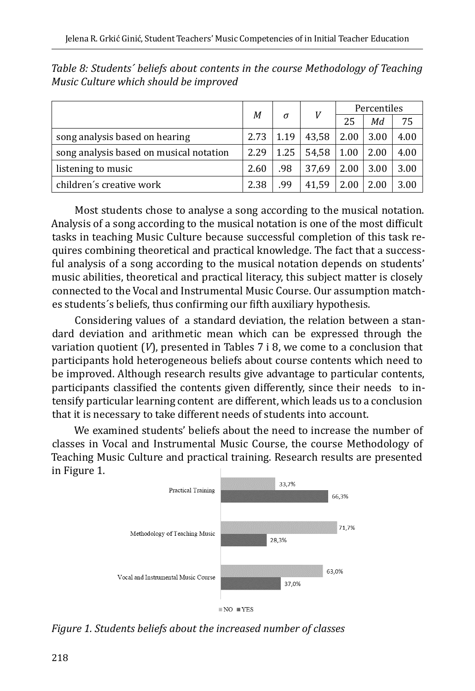|                                         | М    |      |       | V    | Percentiles |      |  |  |
|-----------------------------------------|------|------|-------|------|-------------|------|--|--|
|                                         |      | σ    |       | 25   | Мd          | 75   |  |  |
| song analysis based on hearing          | 2.73 | 1.19 | 43,58 | 2.00 | 3.00        | 4.00 |  |  |
| song analysis based on musical notation | 2.29 | 1.25 | 54,58 | 1.00 | 2.00        | 4.00 |  |  |
| listening to music                      | 2.60 | .98  | 37.69 | 2.00 | 3.00        | 3.00 |  |  |
| children's creative work                | 2.38 | .99  | 41.59 | 2.00 | 2.00        | 3.00 |  |  |

*Table 8: Students´ beliefs about contents in the course Methodology of Teaching Music Culture which should be improved*

Most students chose to analyse a song according to the musical notation. Analysis of a song according to the musical notation is one of the most difficult tasks in teaching Music Culture because successful completion of this task requires combining theoretical and practical knowledge. The fact that a successful analysis of a song according to the musical notation depends on students' music abilities, theoretical and practical literacy, this subject matter is closely connected to the Vocal and Instrumental Music Course. Our assumption matches students´s beliefs, thus confirming our fifth auxiliary hypothesis.

Considering values of a standard deviation, the relation between a standard deviation and arithmetic mean which can be expressed through the variation quotient (*V*), presented in Tables 7 i 8, we come to a conclusion that participants hold heterogeneous beliefs about course contents which need to be improved. Although research results give advantage to particular contents, participants classified the contents given differently, since their needs to intensify particular learning content are different, which leads us to a conclusion that it is necessary to take different needs of students into account.

We examined students' beliefs about the need to increase the number of classes in Vocal and Instrumental Music Course, the course Methodology of Teaching Music Culture and practical training. Research results are presented in Figure 1.



*Figure 1. Students beliefs about the increased number of classes*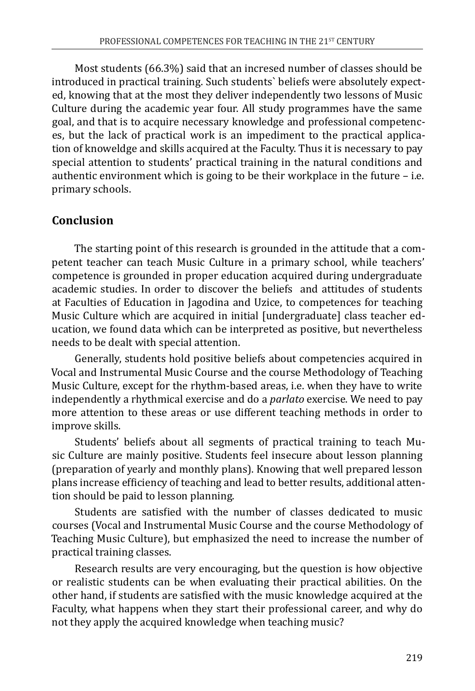Most students (66.3%) said that an incresed number of classes should be introduced in practical training. Such students` beliefs were absolutely expected, knowing that at the most they deliver independently two lessons of Music Culture during the academic year four. All study programmes have the same goal, and that is to acquire necessary knowledge and professional competences, but the lack of practical work is an impediment to the practical application of knoweldge and skills acquired at the Faculty. Thus it is necessary to pay special attention to students' practical training in the natural conditions and authentic environment which is going to be their workplace in the future – i.e. primary schools.

## **Conclusion**

The starting point of this research is grounded in the attitude that a competent teacher can teach Music Culture in a primary school, while teachers' competence is grounded in proper education acquired during undergraduate academic studies. In order to discover the beliefs and attitudes of students at Faculties of Education in Jagodina and Uzice, to competences for teaching Music Culture which are acquired in initial [undergraduate] class teacher education, we found data which can be interpreted as positive, but nevertheless needs to be dealt with special attention.

Generally, students hold positive beliefs about competencies acquired in Vocal and Instrumental Music Course and the course Methodology of Teaching Music Culture, except for the rhythm-based areas, i.e. when they have to write independently a rhythmical exercise and do a *parlato* exercise. We need to pay more attention to these areas or use different teaching methods in order to improve skills.

Students' beliefs about all segments of practical training to teach Music Culture are mainly positive. Students feel insecure about lesson planning (preparation of yearly and monthly plans). Knowing that well prepared lesson plans increase efficiency of teaching and lead to better results, additional attention should be paid to lesson planning.

Students are satisfied with the number of classes dedicated to music courses (Vocal and Instrumental Music Course and the course Methodology of Teaching Music Culture), but emphasized the need to increase the number of practical training classes.

Research results are very encouraging, but the question is how objective or realistic students can be when evaluating their practical abilities. On the other hand, if students are satisfied with the music knowledge acquired at the Faculty, what happens when they start their professional career, and why do not they apply the acquired knowledge when teaching music?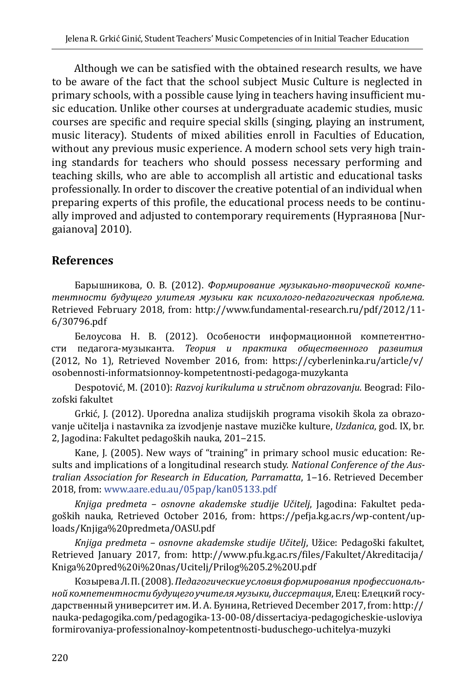Although we can be satisfied with the obtained research results, we have to be aware of the fact that the school subject Music Culture is neglected in primary schools, with a possible cause lying in teachers having insufficient music education. Unlike other courses at undergraduate academic studies, music courses are specific and require special skills (singing, playing an instrument, music literacy). Students of mixed abilities enroll in Faculties of Education, without any previous music experience. A modern school sets very high training standards for teachers who should possess necessary performing and teaching skills, who are able to accomplish all artistic and educational tasks professionally. In order to discover the creative potential of an individual when preparing experts of this profile, the educational process needs to be continually improved and adjusted to contemporary requirements (Нургаянова [Nurgaianova] 2010).

## **References**

Барышникова, О. В. (2012). *Формирование музыкаьно-творической компетентности будущего улителя музыки как психолого-педагогическая проблема.* Retrieved February 2018, from: [http://www.fundamental-research.ru/pdf/2012/11-](http://www.fundamental-research.ru/pdf/2012/11-6/30796.pdf) [6/30796.pdf](http://www.fundamental-research.ru/pdf/2012/11-6/30796.pdf)

Белоусова Н. В. (2012). Особености информационной компетентности педагога-музыканта. *Теория и практика общественного развития* (2012, No 1), Retrieved November 2016, from: [https://cyberleninka.ru/article/v/](https://cyberleninka.ru/article/v/osobennosti-informatsionnoy-kompetentnosti-pedagoga-muzykanta) [osobennosti-informatsionnoy-kompetentnosti-pedagoga-muzykanta](https://cyberleninka.ru/article/v/osobennosti-informatsionnoy-kompetentnosti-pedagoga-muzykanta)

Despotović, M. (2010): *Razvoj kurikuluma u stru*č*nom obrazovanju*. Beograd: Filozofski fakultet

Grkić, J. (2012). Uporedna analiza studijskih programa visokih škola za obrazovanje učitelja i nastavnika za izvodjenje nastave muzičke kulture, *Uzdanica*, god. IX, br. 2, Jagodina: Fakultet pedagoških nauka, 201-215.

Kane, J. (2005). New ways of "training" in primary school music education: Results and implications of a longitudinal research study. *National Conference of the Australian Association for Research in Education, Parramatta*, 1‒16. Retrieved December 2018, from: [www.aare.edu.au/05pap/kan05133.pdf](http://www.aare.edu.au/05pap/kan05133.pdf)

*Knjiga predmeta – osnovne akademske studije Učitelj*, Jagodina: Fakultet pedagoških nauka, Retrieved October 2016, from: [https://pefja.kg.ac.rs/wp-content/up](https://pefja.kg.ac.rs/wp-content/uploads/Knjiga%20predmeta/OASU.pdf)[loads/Knjiga%20predmeta/OASU.pdf](https://pefja.kg.ac.rs/wp-content/uploads/Knjiga%20predmeta/OASU.pdf)

*Knjiga predmeta – osnovne akademske studije Učitelj*, Užice: Pedagoški fakultet, Retrieved January 2017, from: [http://www.pfu.kg.ac.rs/files/Fakultet/Akreditacija/](http://www.pfu.kg.ac.rs/files/Fakultet/Akreditacija/Kniga%20pred%20i%20nas/Ucitelj/Prilog%205.2%20U.pdf) [Kniga%20pred%20i%20nas/Ucitelj/Prilog%205.2%20U.pdf](http://www.pfu.kg.ac.rs/files/Fakultet/Akreditacija/Kniga%20pred%20i%20nas/Ucitelj/Prilog%205.2%20U.pdf)

Козырева Л. П. (2008). *Педагогические условия формирования профессиональной компетентности будущего учителя музыки, диссертация*, Елец: Елецкий государственный университет им. И. А. Бунина, Retrieved December 2017, from: [http://](http://nauka-pedagogika.com/pedagogika-13-00-08/dissertaciya-pedagogicheskie-usloviya%20formirovaniya-professionalnoy-kompetentnosti-buduschego-uchitelya-muzyki) [nauka-pedagogika.com/pedagogika-13-00-08/dissertaciya-pedagogicheskie-usloviya](http://nauka-pedagogika.com/pedagogika-13-00-08/dissertaciya-pedagogicheskie-usloviya%20formirovaniya-professionalnoy-kompetentnosti-buduschego-uchitelya-muzyki)  [formirovaniya-professionalnoy-kompetentnosti-buduschego-uchitelya-muzyki](http://nauka-pedagogika.com/pedagogika-13-00-08/dissertaciya-pedagogicheskie-usloviya%20formirovaniya-professionalnoy-kompetentnosti-buduschego-uchitelya-muzyki)